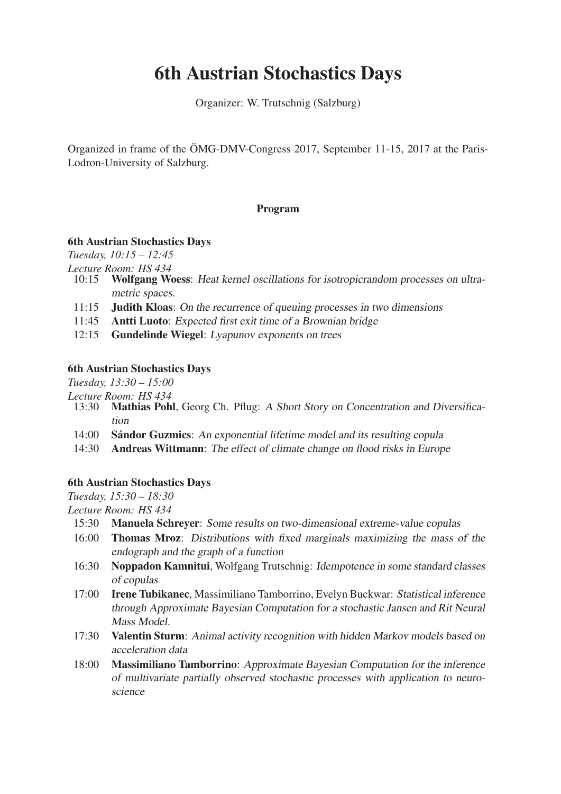# 6th Austrian Stochastics Days

Organizer: W. Trutschnig (Salzburg)

Organized in frame of the ÖMG-DMV-Congress 2017, September 11-15, 2017 at the Paris-Lodron-University of Salzburg.

## Program

#### 6th Austrian Stochastics Days

*Tuesday, 10:15 – 12:45*

*Lecture Room: HS 434*

- Wolfgang Woess: Heat kernel oscillations for isotropicrandom processes on ultra*metric spaces.*
- 11:15 Judith Kloas: *On the recurrence of queuing processes in two dimensions*
- 11:45 Antti Luoto: *Expected first exit time of a Brownian bridge*
- 12:15 Gundelinde Wiegel: *Lyapunov exponents on trees*

### 6th Austrian Stochastics Days

*Tuesday, 13:30 – 15:00*

- *Lecture Room: HS 434* Mathias Pohl, Georg Ch. Pflug: *A Short Story on Concentration and Diversification*
	- 14:00 Sándor Guzmics: *An exponential lifetime model and its resulting copula*
	- 14:30 Andreas Wittmann: *The effect of climate change on flood risks in Europe*

### 6th Austrian Stochastics Days

*Tuesday, 15:30 – 18:30*

*Lecture Room: HS 434*

- 15:30 Manuela Schreyer: *Some results on two-dimensional extreme-value copulas*
- 16:00 Thomas Mroz: *Distributions with fixed marginals maximizing the mass of the endograph and the graph of a function*
- 16:30 Noppadon Kamnitui, Wolfgang Trutschnig: *Idempotence in some standard classes of copulas*
- 17:00 Irene Tubikanec, Massimiliano Tamborrino, Evelyn Buckwar: *Statistical inference through Approximate Bayesian Computation for a stochastic Jansen and Rit Neural Mass Model.*
- 17:30 Valentin Sturm: *Animal activity recognition with hidden Markov models based on acceleration data*
- 18:00 Massimiliano Tamborrino: *Approximate Bayesian Computation for the inference of multivariate partially observed stochastic processes with application to neuroscience*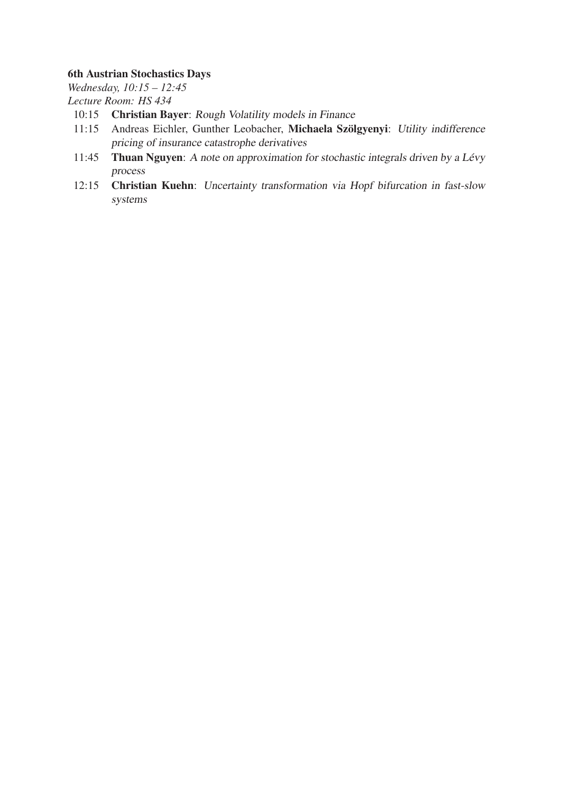## 6th Austrian Stochastics Days

*Wednesday, 10:15 – 12:45 Lecture Room: HS 434*

- 10:15 Christian Bayer: *Rough Volatility models in Finance*
- 11:15 Andreas Eichler, Gunther Leobacher, Michaela Szölgyenyi: *Utility indifference pricing of insurance catastrophe derivatives*
- 11:45 Thuan Nguyen: *A note on approximation for stochastic integrals driven by a Lévy process*
- 12:15 Christian Kuehn: *Uncertainty transformation via Hopf bifurcation in fast-slow systems*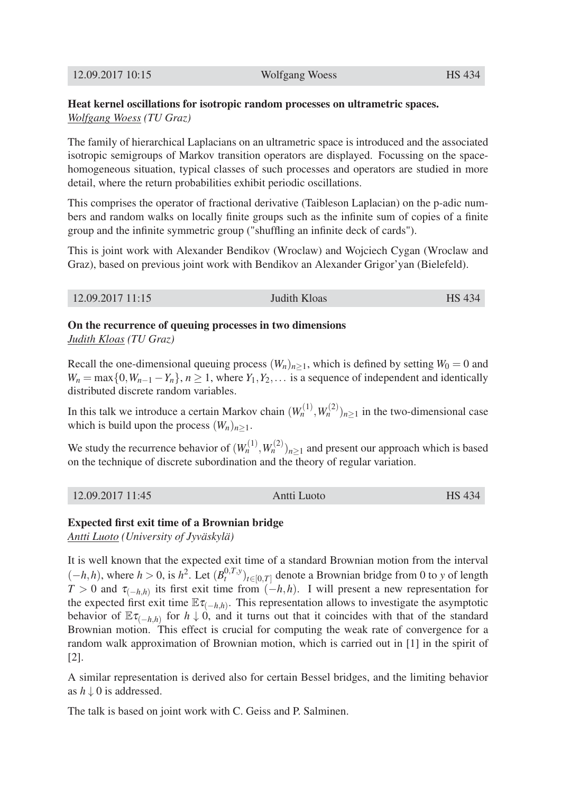## Heat kernel oscillations for isotropic random processes on ultrametric spaces. *Wolfgang Woess (TU Graz)*

The family of hierarchical Laplacians on an ultrametric space is introduced and the associated isotropic semigroups of Markov transition operators are displayed. Focussing on the spacehomogeneous situation, typical classes of such processes and operators are studied in more detail, where the return probabilities exhibit periodic oscillations.

This comprises the operator of fractional derivative (Taibleson Laplacian) on the p-adic numbers and random walks on locally finite groups such as the infinite sum of copies of a finite group and the infinite symmetric group ("shuffling an infinite deck of cards").

This is joint work with Alexander Bendikov (Wroclaw) and Wojciech Cygan (Wroclaw and Graz), based on previous joint work with Bendikov an Alexander Grigor'yan (Bielefeld).

12.09.2017 11:15 Judith Kloas HS 434

On the recurrence of queuing processes in two dimensions *Judith Kloas (TU Graz)*

Recall the one-dimensional queuing process  $(W_n)_{n>1}$ , which is defined by setting  $W_0 = 0$  and  $W_n = \max\{0, W_{n-1} - Y_n\}, n \ge 1$ , where  $Y_1, Y_2, \ldots$  is a sequence of independent and identically distributed discrete random variables.

In this talk we introduce a certain Markov chain  $(W_n^{(1)}, W_n^{(2)})_{n \geq 1}$  in the two-dimensional case which is build upon the process  $(W_n)_{n>1}$ .

We study the recurrence behavior of  $(W_n^{(1)}, W_n^{(2)})_{n \geq 1}$  and present our approach which is based on the technique of discrete subordination and the theory of regular variation.

### Expected first exit time of a Brownian bridge

*Antti Luoto (University of Jyväskylä)*

It is well known that the expected exit time of a standard Brownian motion from the interval  $(-h, h)$ , where  $h > 0$ , is  $h^2$ . Let  $(B_t^{0, T, y})_{t \in [0, T]}$  denote a Brownian bridge from 0 to *y* of length  $T > 0$  and  $\tau_{(-h,h)}$  its first exit time from  $(-h,h)$ . I will present a new representation for the expected first exit time  $\mathbb{E} \tau_{(-h,h)}$ . This representation allows to investigate the asymptotic behavior of  $\mathbb{E} \tau_{(-h,h)}$  for  $h \downarrow 0$ , and it turns out that it coincides with that of the standard Brownian motion. This effect is crucial for computing the weak rate of convergence for a random walk approximation of Brownian motion, which is carried out in [1] in the spirit of [2].

A similar representation is derived also for certain Bessel bridges, and the limiting behavior as  $h \downarrow 0$  is addressed.

The talk is based on joint work with C. Geiss and P. Salminen.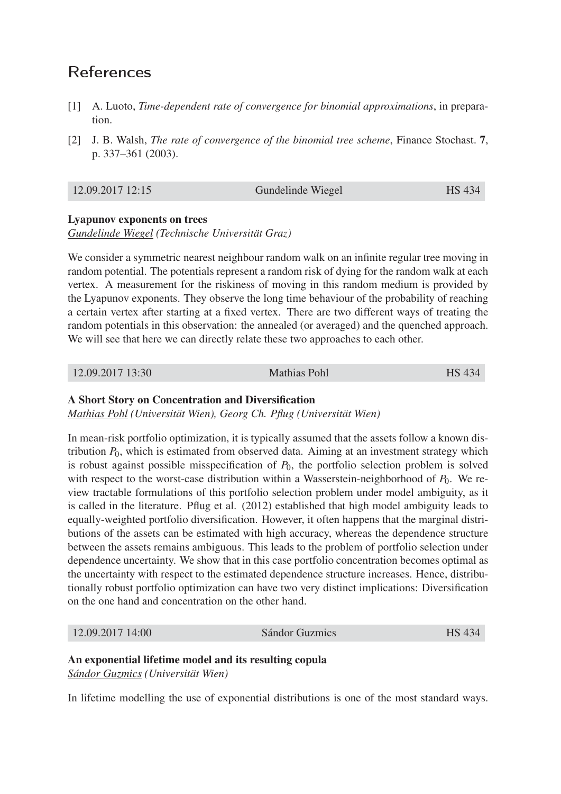## References

- [1] A. Luoto, *Time-dependent rate of convergence for binomial approximations*, in preparation.
- [2] J. B. Walsh, *The rate of convergence of the binomial tree scheme*, Finance Stochast. 7, p. 337–361 (2003).

### Lyapunov exponents on trees

*Gundelinde Wiegel (Technische Universität Graz)*

We consider a symmetric nearest neighbour random walk on an infinite regular tree moving in random potential. The potentials represent a random risk of dying for the random walk at each vertex. A measurement for the riskiness of moving in this random medium is provided by the Lyapunov exponents. They observe the long time behaviour of the probability of reaching a certain vertex after starting at a fixed vertex. There are two different ways of treating the random potentials in this observation: the annealed (or averaged) and the quenched approach. We will see that here we can directly relate these two approaches to each other.

12.09.2017 13:30 Mathias Pohl HS 434

## A Short Story on Concentration and Diversification

*Mathias Pohl (Universität Wien), Georg Ch. Pflug (Universität Wien)*

In mean-risk portfolio optimization, it is typically assumed that the assets follow a known distribution *P*0, which is estimated from observed data. Aiming at an investment strategy which is robust against possible misspecification of *P*0, the portfolio selection problem is solved with respect to the worst-case distribution within a Wasserstein-neighborhood of  $P_0$ . We review tractable formulations of this portfolio selection problem under model ambiguity, as it is called in the literature. Pflug et al. (2012) established that high model ambiguity leads to equally-weighted portfolio diversification. However, it often happens that the marginal distributions of the assets can be estimated with high accuracy, whereas the dependence structure between the assets remains ambiguous. This leads to the problem of portfolio selection under dependence uncertainty. We show that in this case portfolio concentration becomes optimal as the uncertainty with respect to the estimated dependence structure increases. Hence, distributionally robust portfolio optimization can have two very distinct implications: Diversification on the one hand and concentration on the other hand.

12.09.2017 14:00 Sándor Guzmics HS 434

## An exponential lifetime model and its resulting copula

*Sándor Guzmics (Universität Wien)*

In lifetime modelling the use of exponential distributions is one of the most standard ways.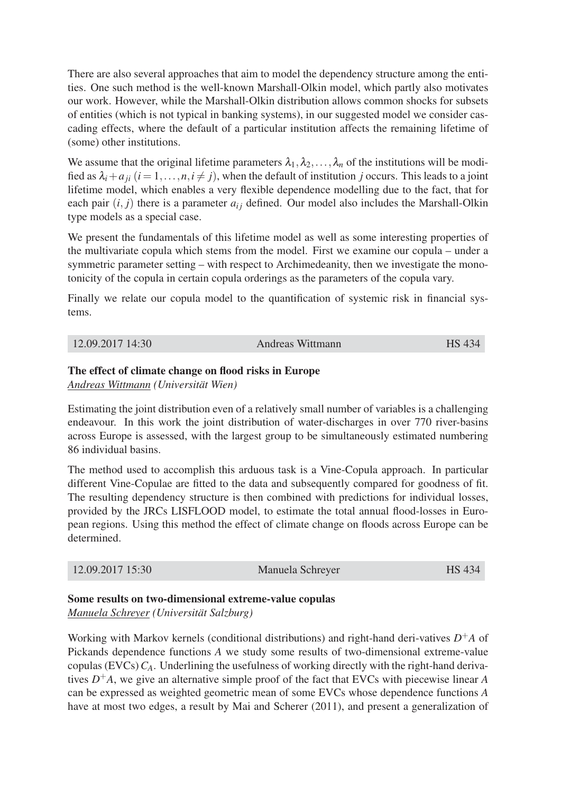There are also several approaches that aim to model the dependency structure among the entities. One such method is the well-known Marshall-Olkin model, which partly also motivates our work. However, while the Marshall-Olkin distribution allows common shocks for subsets of entities (which is not typical in banking systems), in our suggested model we consider cascading effects, where the default of a particular institution affects the remaining lifetime of (some) other institutions.

We assume that the original lifetime parameters  $\lambda_1, \lambda_2, \ldots, \lambda_n$  of the institutions will be modified as  $\lambda_i + a_{ii}$  ( $i = 1, \ldots, n, i \neq j$ ), when the default of institution *j* occurs. This leads to a joint lifetime model, which enables a very flexible dependence modelling due to the fact, that for each pair  $(i, j)$  there is a parameter  $a_{ij}$  defined. Our model also includes the Marshall-Olkin type models as a special case.

We present the fundamentals of this lifetime model as well as some interesting properties of the multivariate copula which stems from the model. First we examine our copula – under a symmetric parameter setting – with respect to Archimedeanity, then we investigate the monotonicity of the copula in certain copula orderings as the parameters of the copula vary.

Finally we relate our copula model to the quantification of systemic risk in financial systems.

| 12.09.2017 14:30 | Andreas Wittmann | HS 434 |
|------------------|------------------|--------|
|------------------|------------------|--------|

### The effect of climate change on flood risks in Europe

*Andreas Wittmann (Universität Wien)*

Estimating the joint distribution even of a relatively small number of variables is a challenging endeavour. In this work the joint distribution of water-discharges in over 770 river-basins across Europe is assessed, with the largest group to be simultaneously estimated numbering 86 individual basins.

The method used to accomplish this arduous task is a Vine-Copula approach. In particular different Vine-Copulae are fitted to the data and subsequently compared for goodness of fit. The resulting dependency structure is then combined with predictions for individual losses, provided by the JRCs LISFLOOD model, to estimate the total annual flood-losses in European regions. Using this method the effect of climate change on floods across Europe can be determined.

| 12.09.2017 15:30 | Manuela Schreyer | <b>HS</b> 434 |
|------------------|------------------|---------------|
|------------------|------------------|---------------|

### Some results on two-dimensional extreme-value copulas

*Manuela Schreyer (Universität Salzburg)*

Working with Markov kernels (conditional distributions) and right-hand deri-vatives  $D^+A$  of Pickands dependence functions *A* we study some results of two-dimensional extreme-value copulas (EVCs)  $C_A$ . Underlining the usefulness of working directly with the right-hand derivatives  $D^+A$ , we give an alternative simple proof of the fact that EVCs with piecewise linear *A* can be expressed as weighted geometric mean of some EVCs whose dependence functions *A* have at most two edges, a result by Mai and Scherer (2011), and present a generalization of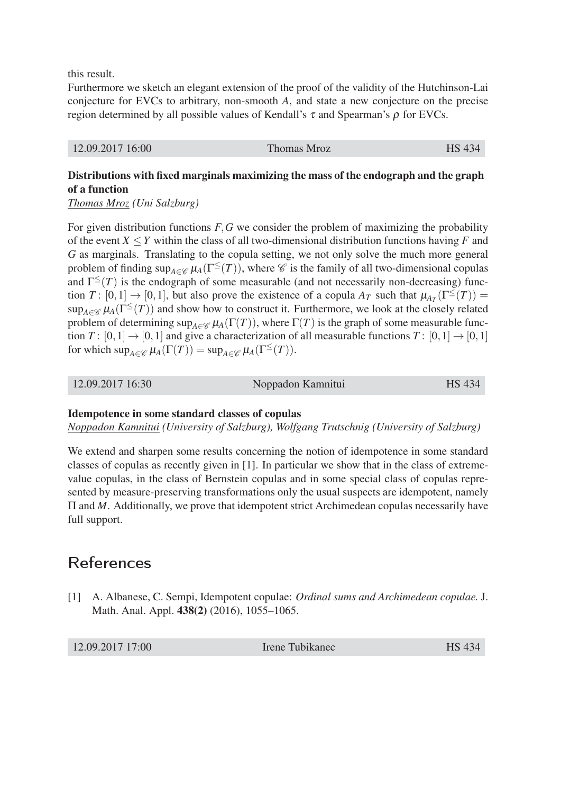this result.

Furthermore we sketch an elegant extension of the proof of the validity of the Hutchinson-Lai conjecture for EVCs to arbitrary, non-smooth *A*, and state a new conjecture on the precise region determined by all possible values of Kendall's  $τ$  and Spearman's  $ρ$  for EVCs.

| 12.09.2017 16:00 | Thomas Mroz | <b>HS</b> 434 |
|------------------|-------------|---------------|
|                  |             |               |

## Distributions with fixed marginals maximizing the mass of the endograph and the graph of a function

*Thomas Mroz (Uni Salzburg)*

For given distribution functions *F*,*G* we consider the problem of maximizing the probability of the event  $X \leq Y$  within the class of all two-dimensional distribution functions having *F* and *G* as marginals. Translating to the copula setting, we not only solve the much more general problem of finding  $\sup_{A \in \mathscr{C}} \mu_A(\Gamma^{\leq}(T))$ , where  $\mathscr{C}$  is the family of all two-dimensional copulas and  $\Gamma^{\leq}(T)$  is the endograph of some measurable (and not necessarily non-decreasing) function *T* :  $[0,1] \rightarrow [0,1]$ , but also prove the existence of a copula *A<sub>T</sub>* such that  $\mu_{A_T}(\Gamma^{\leq}(T)) =$  $\sup_{A \in \mathscr{C}} \mu_A(\Gamma^{\leq}(T))$  and show how to construct it. Furthermore, we look at the closely related problem of determining  $\sup_{A \in \mathscr{C}} \mu_A(\Gamma(T))$ , where  $\Gamma(T)$  is the graph of some measurable function *T* :  $[0,1] \rightarrow [0,1]$  and give a characterization of all measurable functions *T* :  $[0,1] \rightarrow [0,1]$ for which  $\sup_{A \in \mathscr{C}} \mu_A(\Gamma(T)) = \sup_{A \in \mathscr{C}} \mu_A(\Gamma^{\leq}(T)).$ 

### Idempotence in some standard classes of copulas

*Noppadon Kamnitui (University of Salzburg), Wolfgang Trutschnig (University of Salzburg)*

We extend and sharpen some results concerning the notion of idempotence in some standard classes of copulas as recently given in [1]. In particular we show that in the class of extremevalue copulas, in the class of Bernstein copulas and in some special class of copulas represented by measure-preserving transformations only the usual suspects are idempotent, namely Π and *M*. Additionally, we prove that idempotent strict Archimedean copulas necessarily have full support.

## References

[1] A. Albanese, C. Sempi, Idempotent copulae: *Ordinal sums and Archimedean copulae.* J. Math. Anal. Appl. **438(2)** (2016), 1055–1065.

12.09.2017 17:00 Irene Tubikanec HS 434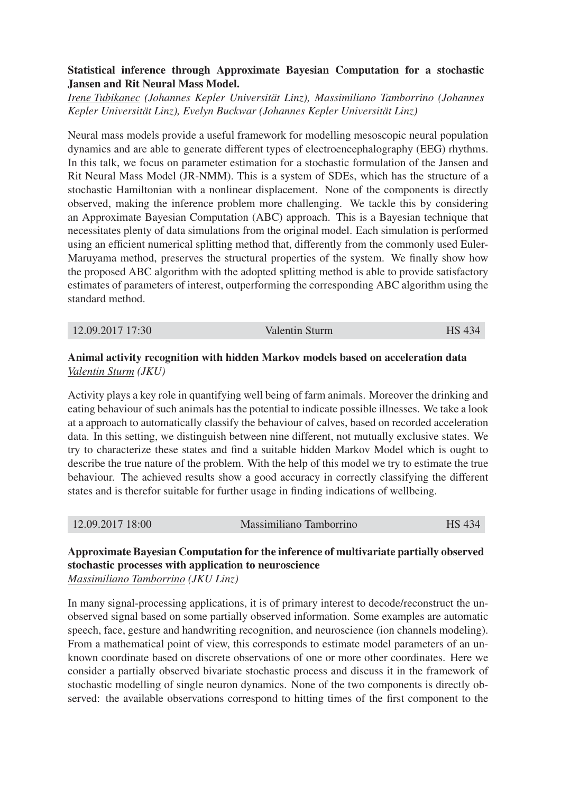## Statistical inference through Approximate Bayesian Computation for a stochastic Jansen and Rit Neural Mass Model.

*Irene Tubikanec (Johannes Kepler Universität Linz), Massimiliano Tamborrino (Johannes Kepler Universität Linz), Evelyn Buckwar (Johannes Kepler Universität Linz)*

Neural mass models provide a useful framework for modelling mesoscopic neural population dynamics and are able to generate different types of electroencephalography (EEG) rhythms. In this talk, we focus on parameter estimation for a stochastic formulation of the Jansen and Rit Neural Mass Model (JR-NMM). This is a system of SDEs, which has the structure of a stochastic Hamiltonian with a nonlinear displacement. None of the components is directly observed, making the inference problem more challenging. We tackle this by considering an Approximate Bayesian Computation (ABC) approach. This is a Bayesian technique that necessitates plenty of data simulations from the original model. Each simulation is performed using an efficient numerical splitting method that, differently from the commonly used Euler-Maruyama method, preserves the structural properties of the system. We finally show how the proposed ABC algorithm with the adopted splitting method is able to provide satisfactory estimates of parameters of interest, outperforming the corresponding ABC algorithm using the standard method.

12.09.2017 17:30 Valentin Sturm HS 434

## Animal activity recognition with hidden Markov models based on acceleration data *Valentin Sturm (JKU)*

Activity plays a key role in quantifying well being of farm animals. Moreover the drinking and eating behaviour of such animals has the potential to indicate possible illnesses. We take a look at a approach to automatically classify the behaviour of calves, based on recorded acceleration data. In this setting, we distinguish between nine different, not mutually exclusive states. We try to characterize these states and find a suitable hidden Markov Model which is ought to describe the true nature of the problem. With the help of this model we try to estimate the true behaviour. The achieved results show a good accuracy in correctly classifying the different states and is therefor suitable for further usage in finding indications of wellbeing.

| 12.09.2017 18:00 | Massimiliano Tamborrino | <b>HS</b> 434 |
|------------------|-------------------------|---------------|
|------------------|-------------------------|---------------|

## Approximate Bayesian Computation for the inference of multivariate partially observed stochastic processes with application to neuroscience *Massimiliano Tamborrino (JKU Linz)*

In many signal-processing applications, it is of primary interest to decode/reconstruct the unobserved signal based on some partially observed information. Some examples are automatic speech, face, gesture and handwriting recognition, and neuroscience (ion channels modeling). From a mathematical point of view, this corresponds to estimate model parameters of an unknown coordinate based on discrete observations of one or more other coordinates. Here we consider a partially observed bivariate stochastic process and discuss it in the framework of stochastic modelling of single neuron dynamics. None of the two components is directly observed: the available observations correspond to hitting times of the first component to the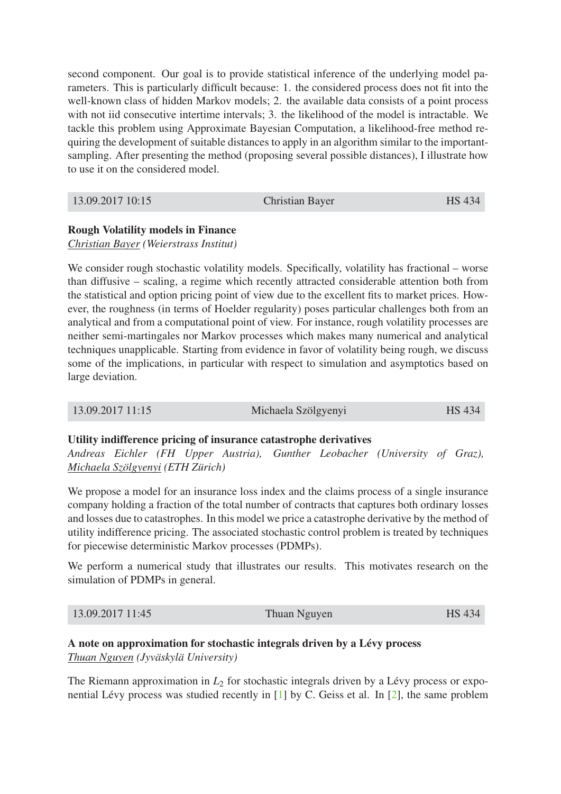second component. Our goal is to provide statistical inference of the underlying model parameters. This is particularly difficult because: 1. the considered process does not fit into the well-known class of hidden Markov models; 2. the available data consists of a point process with not iid consecutive intertime intervals; 3. the likelihood of the model is intractable. We tackle this problem using Approximate Bayesian Computation, a likelihood-free method requiring the development of suitable distances to apply in an algorithm similar to the importantsampling. After presenting the method (proposing several possible distances), I illustrate how to use it on the considered model.

| <b>Christian Bayer</b> | 13.09.2017 10:15 |  | <b>HS</b> 434 |
|------------------------|------------------|--|---------------|
|------------------------|------------------|--|---------------|

## Rough Volatility models in Finance

*Christian Bayer (Weierstrass Institut)*

We consider rough stochastic volatility models. Specifically, volatility has fractional – worse than diffusive – scaling, a regime which recently attracted considerable attention both from the statistical and option pricing point of view due to the excellent fits to market prices. However, the roughness (in terms of Hoelder regularity) poses particular challenges both from an analytical and from a computational point of view. For instance, rough volatility processes are neither semi-martingales nor Markov processes which makes many numerical and analytical techniques unapplicable. Starting from evidence in favor of volatility being rough, we discuss some of the implications, in particular with respect to simulation and asymptotics based on large deviation.

| 13.09.2017 11:15 | Michaela Szölgyenyi | <b>HS</b> 434 |
|------------------|---------------------|---------------|
|------------------|---------------------|---------------|

## Utility indifference pricing of insurance catastrophe derivatives

*Andreas Eichler (FH Upper Austria), Gunther Leobacher (University of Graz), Michaela Szölgyenyi (ETH Zürich)*

We propose a model for an insurance loss index and the claims process of a single insurance company holding a fraction of the total number of contracts that captures both ordinary losses and losses due to catastrophes. In this model we price a catastrophe derivative by the method of utility indifference pricing. The associated stochastic control problem is treated by techniques for piecewise deterministic Markov processes (PDMPs).

We perform a numerical study that illustrates our results. This motivates research on the simulation of PDMPs in general.

| 13.09.2017 11:45 | Thuan Nguyen | <b>HS</b> 434 |
|------------------|--------------|---------------|
|------------------|--------------|---------------|

## A note on approximation for stochastic integrals driven by a Lévy process *Thuan Nguyen (Jyväskylä University)*

The Riemann approximation in  $L_2$  for stochastic integrals driven by a Lévy process or exponential Lévy process was studied recently in [1] by C. Geiss et al. In [2], the same problem